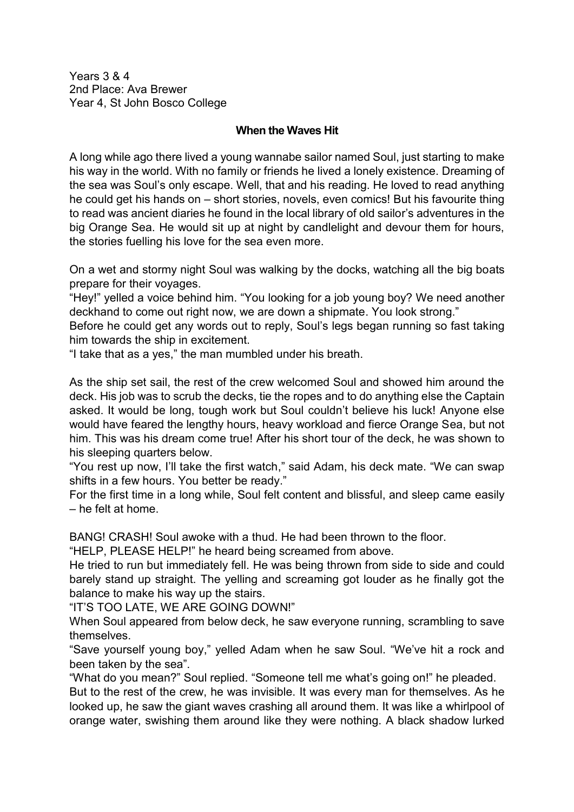Years 3 & 4 2nd Place: Ava Brewer Year 4, St John Bosco College

## **When the Waves Hit**

A long while ago there lived a young wannabe sailor named Soul, just starting to make his way in the world. With no family or friends he lived a lonely existence. Dreaming of the sea was Soul's only escape. Well, that and his reading. He loved to read anything he could get his hands on – short stories, novels, even comics! But his favourite thing to read was ancient diaries he found in the local library of old sailor's adventures in the big Orange Sea. He would sit up at night by candlelight and devour them for hours, the stories fuelling his love for the sea even more.

On a wet and stormy night Soul was walking by the docks, watching all the big boats prepare for their voyages.

"Hey!" yelled a voice behind him. "You looking for a job young boy? We need another deckhand to come out right now, we are down a shipmate. You look strong."

Before he could get any words out to reply, Soul's legs began running so fast taking him towards the ship in excitement.

"I take that as a yes," the man mumbled under his breath.

As the ship set sail, the rest of the crew welcomed Soul and showed him around the deck. His job was to scrub the decks, tie the ropes and to do anything else the Captain asked. It would be long, tough work but Soul couldn't believe his luck! Anyone else would have feared the lengthy hours, heavy workload and fierce Orange Sea, but not him. This was his dream come true! After his short tour of the deck, he was shown to his sleeping quarters below.

"You rest up now, I'll take the first watch," said Adam, his deck mate. "We can swap shifts in a few hours. You better be ready."

For the first time in a long while, Soul felt content and blissful, and sleep came easily – he felt at home.

BANG! CRASH! Soul awoke with a thud. He had been thrown to the floor.

"HELP, PLEASE HELP!" he heard being screamed from above.

He tried to run but immediately fell. He was being thrown from side to side and could barely stand up straight. The yelling and screaming got louder as he finally got the balance to make his way up the stairs.

"IT'S TOO LATE, WE ARE GOING DOWN!"

When Soul appeared from below deck, he saw everyone running, scrambling to save themselves.

"Save yourself young boy," yelled Adam when he saw Soul. "We've hit a rock and been taken by the sea".

"What do you mean?" Soul replied. "Someone tell me what's going on!" he pleaded.

But to the rest of the crew, he was invisible. It was every man for themselves. As he looked up, he saw the giant waves crashing all around them. It was like a whirlpool of orange water, swishing them around like they were nothing. A black shadow lurked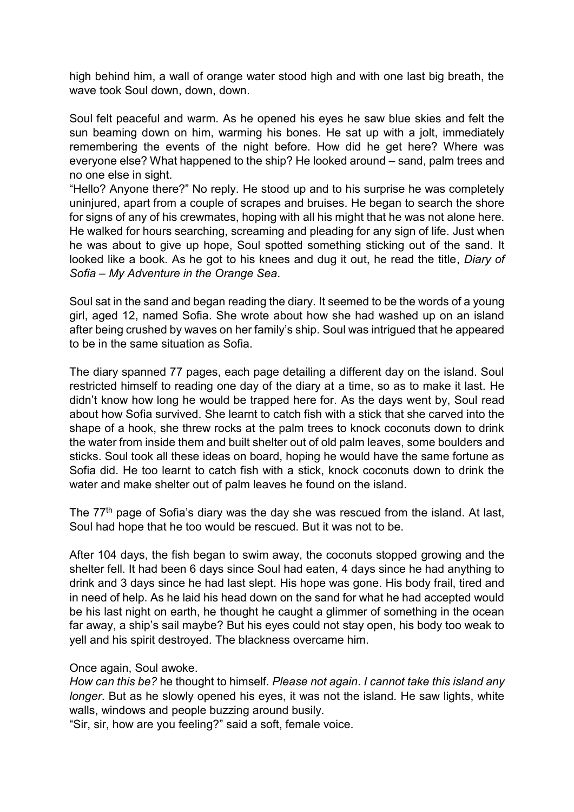high behind him, a wall of orange water stood high and with one last big breath, the wave took Soul down, down, down.

Soul felt peaceful and warm. As he opened his eyes he saw blue skies and felt the sun beaming down on him, warming his bones. He sat up with a jolt, immediately remembering the events of the night before. How did he get here? Where was everyone else? What happened to the ship? He looked around – sand, palm trees and no one else in sight.

"Hello? Anyone there?" No reply. He stood up and to his surprise he was completely uninjured, apart from a couple of scrapes and bruises. He began to search the shore for signs of any of his crewmates, hoping with all his might that he was not alone here. He walked for hours searching, screaming and pleading for any sign of life. Just when he was about to give up hope, Soul spotted something sticking out of the sand. It looked like a book. As he got to his knees and dug it out, he read the title, *Diary of Sofia – My Adventure in the Orange Sea*.

Soul sat in the sand and began reading the diary. It seemed to be the words of a young girl, aged 12, named Sofia. She wrote about how she had washed up on an island after being crushed by waves on her family's ship. Soul was intrigued that he appeared to be in the same situation as Sofia.

The diary spanned 77 pages, each page detailing a different day on the island. Soul restricted himself to reading one day of the diary at a time, so as to make it last. He didn't know how long he would be trapped here for. As the days went by, Soul read about how Sofia survived. She learnt to catch fish with a stick that she carved into the shape of a hook, she threw rocks at the palm trees to knock coconuts down to drink the water from inside them and built shelter out of old palm leaves, some boulders and sticks. Soul took all these ideas on board, hoping he would have the same fortune as Sofia did. He too learnt to catch fish with a stick, knock coconuts down to drink the water and make shelter out of palm leaves he found on the island.

The 77<sup>th</sup> page of Sofia's diary was the day she was rescued from the island. At last, Soul had hope that he too would be rescued. But it was not to be.

After 104 days, the fish began to swim away, the coconuts stopped growing and the shelter fell. It had been 6 days since Soul had eaten, 4 days since he had anything to drink and 3 days since he had last slept. His hope was gone. His body frail, tired and in need of help. As he laid his head down on the sand for what he had accepted would be his last night on earth, he thought he caught a glimmer of something in the ocean far away, a ship's sail maybe? But his eyes could not stay open, his body too weak to yell and his spirit destroyed. The blackness overcame him.

## Once again, Soul awoke.

*How can this be?* he thought to himself. *Please not again*. *I cannot take this island any longer*. But as he slowly opened his eyes, it was not the island. He saw lights, white walls, windows and people buzzing around busily.

"Sir, sir, how are you feeling?" said a soft, female voice.